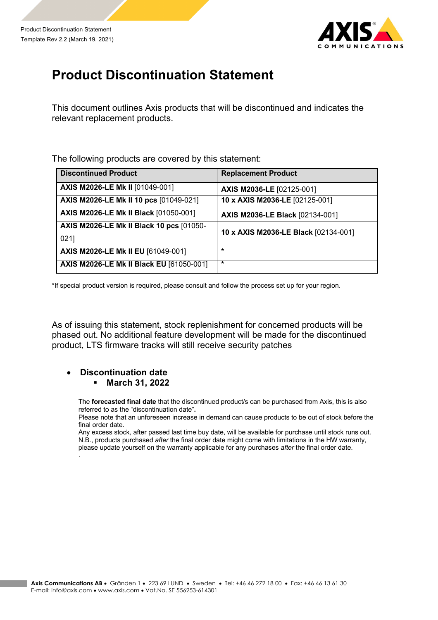

## **Product Discontinuation Statement**

This document outlines Axis products that will be discontinued and indicates the relevant replacement products.

The following products are covered by this statement:

| <b>Discontinued Product</b>                     | <b>Replacement Product</b>             |
|-------------------------------------------------|----------------------------------------|
| AXIS M2026-LE Mk II [01049-001]                 | AXIS M2036-LE [02125-001]              |
| AXIS M2026-LE Mk II 10 pcs [01049-021]          | 10 x AXIS M2036-LE [02125-001]         |
| <b>AXIS M2026-LE Mk II Black [01050-001]</b>    | <b>AXIS M2036-LE Black [02134-001]</b> |
| <b>AXIS M2026-LE Mk II Black 10 pcs [01050-</b> | 10 x AXIS M2036-LE Black [02134-001]   |
| 0211                                            |                                        |
| AXIS M2026-LE Mk II EU [61049-001]              | $\star$                                |
| <b>AXIS M2026-LE Mk II Black EU [61050-001]</b> | $\star$                                |

\*If special product version is required, please consult and follow the process set up for your region.

As of issuing this statement, stock replenishment for concerned products will be phased out. No additional feature development will be made for the discontinued product, LTS firmware tracks will still receive security patches

## • **Discontinuation date** § **March 31, 2022**

The **forecasted final date** that the discontinued product/s can be purchased from Axis, this is also referred to as the "discontinuation date"**.**

Please note that an unforeseen increase in demand can cause products to be out of stock before the final order date.

Any excess stock, after passed last time buy date, will be available for purchase until stock runs out. N.B., products purchased *after* the final order date might come with limitations in the HW warranty, please update yourself on the warranty applicable for any purchases *after* the final order date. .